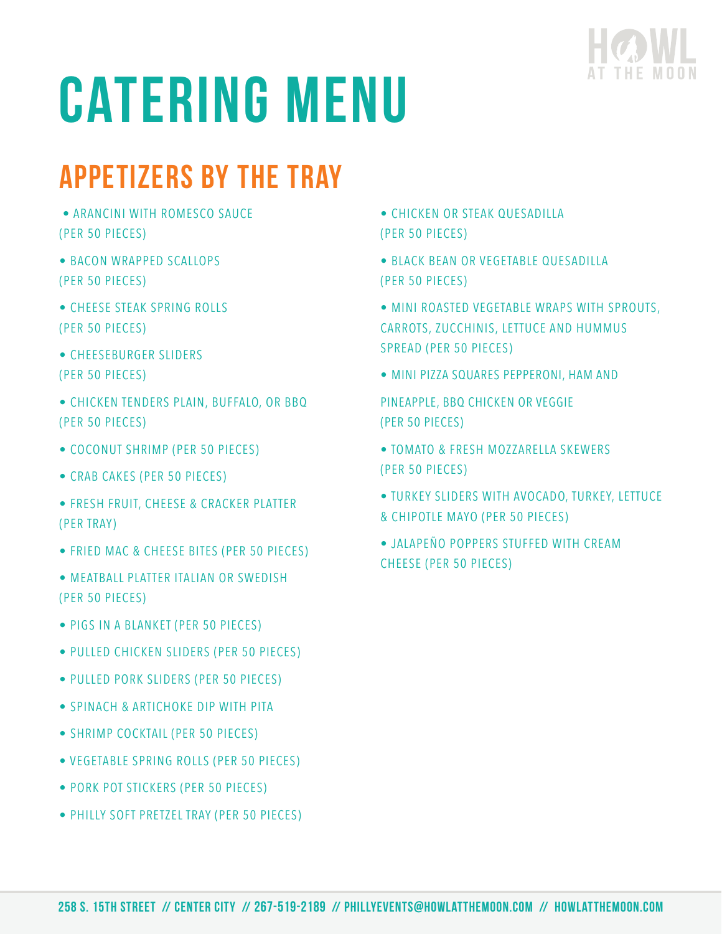

## APPETIZERS BY THE TRAY

- ARANCINI WITH ROMESCO SAUCE (PER 50 PIECES)
- BACON WRAPPED SCALLOPS (PER 50 PIECES)
- CHEESE STEAK SPRING ROLLS (PER 50 PIECES)
- CHEESEBURGER SLIDERS (PER 50 PIECES)
- CHICKEN TENDERS PLAIN, BUFFALO, OR BBQ (PER 50 PIECES)
- COCONUT SHRIMP (PER 50 PIECES)
- CRAB CAKES (PER 50 PIECES)
- FRESH FRUIT, CHEESE & CRACKER PLATTER (PER TRAY)
- FRIED MAC & CHEESE BITES (PER 50 PIECES)
- MEATBALL PLATTER ITALIAN OR SWEDISH (PER 50 PIECES)
- PIGS IN A BLANKET (PER 50 PIECES)
- PULLED CHICKEN SLIDERS (PER 50 PIECES)
- PULLED PORK SLIDERS (PER 50 PIECES)
- SPINACH & ARTICHOKE DIP WITH PITA
- SHRIMP COCKTAIL (PER 50 PIECES)
- VEGETABLE SPRING ROLLS (PER 50 PIECES)
- PORK POT STICKERS (PER 50 PIECES)
- PHILLY SOFT PRETZEL TRAY (PER 50 PIECES)

• CHICKEN OR STEAK QUESADILLA (PER 50 PIECES)

- BLACK BEAN OR VEGETABLE QUESADILLA (PER 50 PIECES)
- MINI ROASTED VEGETABLE WRAPS WITH SPROUTS, CARROTS, ZUCCHINIS, LETTUCE AND HUMMUS SPREAD (PER 50 PIECES)
- MINI PIZZA SQUARES PEPPERONI, HAM AND

PINEAPPLE, BBQ CHICKEN OR VEGGIE (PER 50 PIECES)

- TOMATO & FRESH MOZZARELLA SKEWERS (PER 50 PIECES)
- TURKEY SLIDERS WITH AVOCADO, TURKEY, LETTUCE & CHIPOTLE MAYO (PER 50 PIECES)
- JALAPEÑO POPPERS STUFFED WITH CREAM CHEESE (PER 50 PIECES)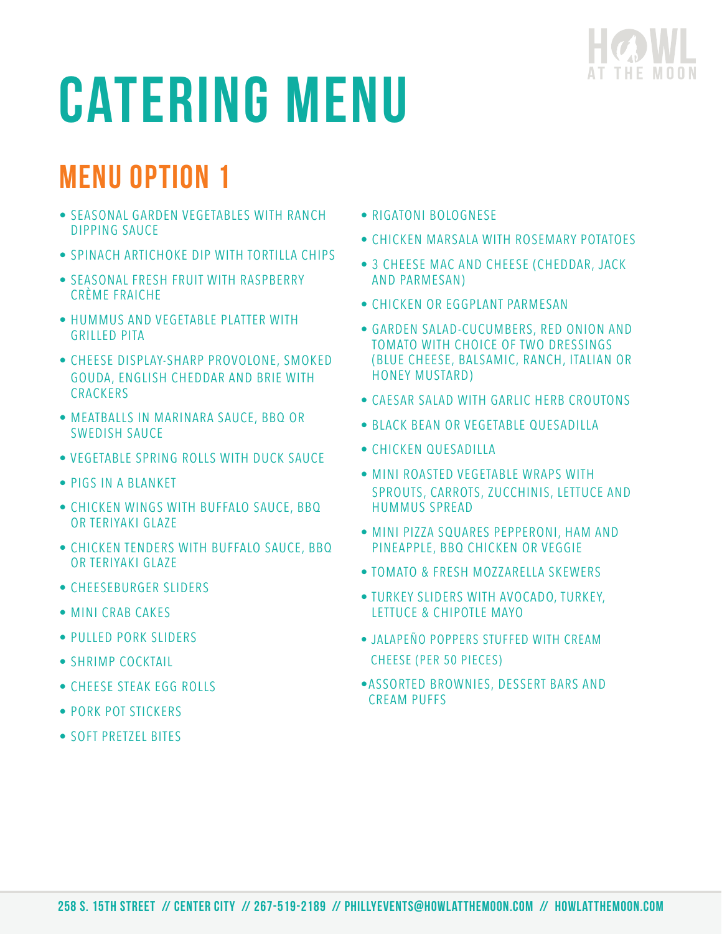

## Menu Option 1

- SEASONAL GARDEN VEGETABLES WITH RANCH DIPPING SAUCE
- SPINACH ARTICHOKE DIP WITH TORTILLA CHIPS
- SEASONAL FRESH FRUIT WITH RASPBERRY CRÈME FRAICHE
- HUMMUS AND VEGETABLE PLATTER WITH GRILLED PITA
- CHEESE DISPLAY-SHARP PROVOLONE, SMOKED GOUDA, ENGLISH CHEDDAR AND BRIE WITH **CRACKERS**
- MEATBALLS IN MARINARA SAUCE, BBQ OR SWEDISH SAUCE
- VEGETABLE SPRING ROLLS WITH DUCK SAUCE
- PIGS IN A BLANKET
- CHICKEN WINGS WITH BUFFALO SAUCE, BBQ OR TERIYAKI GLAZE
- CHICKEN TENDERS WITH BUFFALO SAUCE, BBQ OR TERIYAKI GLAZE
- CHEESEBURGER SLIDERS
- MINI CRAB CAKES
- PULLED PORK SLIDERS
- SHRIMP COCKTAIL
- CHEESE STEAK EGG ROLLS
- PORK POT STICKERS
- SOFT PRETZEL BITES
- RIGATONI BOLOGNESE
- CHICKEN MARSALA WITH ROSEMARY POTATOES
- 3 CHEESE MAC AND CHEESE (CHEDDAR, JACK AND PARMESAN)
- CHICKEN OR EGGPLANT PARMESAN
- GARDEN SALAD-CUCUMBERS, RED ONION AND TOMATO WITH CHOICE OF TWO DRESSINGS (BLUE CHEESE, BALSAMIC, RANCH, ITALIAN OR HONEY MUSTARD)
- CAESAR SALAD WITH GARLIC HERB CROUTONS
- BLACK BEAN OR VEGETABLE OUESADILLA
- CHICKEN OUFSADILLA
- MINI ROASTED VEGETABLE WRAPS WITH SPROUTS, CARROTS, ZUCCHINIS, LETTUCE AND HUMMUS SPREAD
- MINI PIZZA SQUARES PEPPERONI, HAM AND PINEAPPLE, BBQ CHICKEN OR VEGGIE
- TOMATO & FRESH MOZZARELLA SKEWERS
- TURKEY SLIDERS WITH AVOCADO, TURKEY, LETTUCE & CHIPOTLE MAYO
- JALAPEÑO POPPERS STUFFED WITH CREAM CHEESE (PER 50 PIECES)
- •ASSORTED BROWNIES, DESSERT BARS AND CREAM PUFFS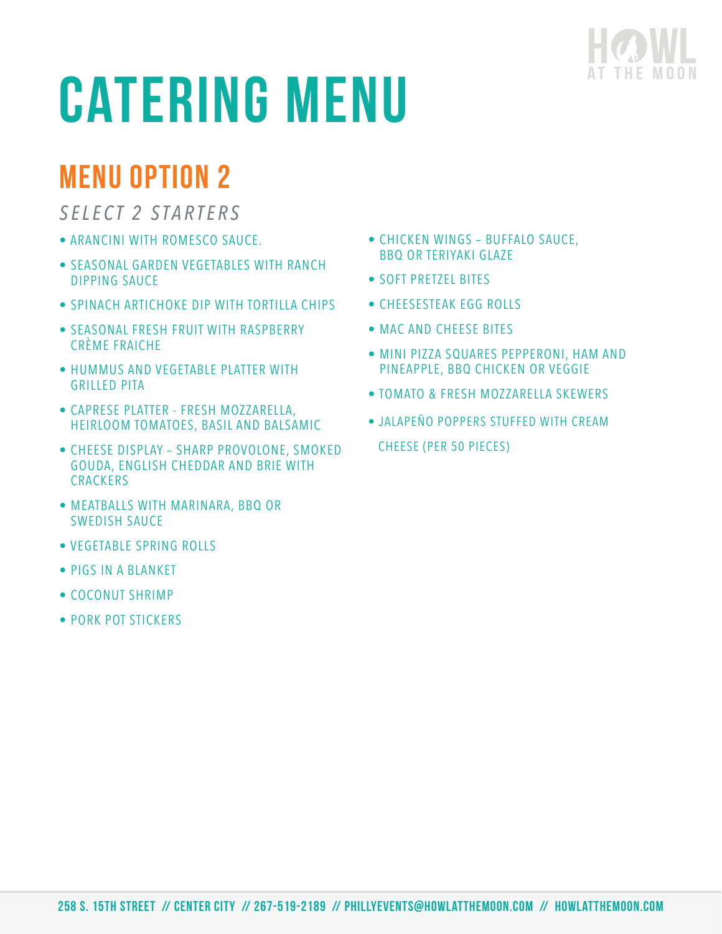

### Menu Option 2

### *SELECT 2 STARTERS*

- ARANCINI WITH ROMESCO SAUCE.
- SEASONAL GARDEN VEGETABLES WITH RANCH DIPPING SAUCE
- SPINACH ARTICHOKE DIP WITH TORTILLA CHIPS
- SEASONAL FRESH FRUIT WITH RASPBERRY CRÈME FRAICHE
- HUMMUS AND VEGETABLE PLATTER WITH GRILLED PITA
- CAPRESE PLATTER FRESH MOZZARELLA, HEIRLOOM TOMATOES, BASIL AND BALSAMIC
- CHEESE DISPLAY SHARP PROVOLONE, SMOKED GOUDA, ENGLISH CHEDDAR AND BRIE WITH **CRACKERS**
- MEATBALLS WITH MARINARA, BBQ OR SWEDISH SAUCE
- VEGETABLE SPRING ROLLS
- PIGS IN A BLANKET
- COCONUT SHRIMP
- PORK POT STICKERS
- CHICKEN WINGS BUFFALO SAUCE, BBQ OR TERIYAKI GLAZE
- SOFT PRETZEL BITES
- CHEESESTEAK EGG ROLLS
- MAC AND CHEESE BITES
- MINI PIZZA SQUARES PEPPERONI, HAM AND PINEAPPLE, BBQ CHICKEN OR VEGGIE
- TOMATO & FRESH MOZZARELLA SKEWERS
- JALAPEÑO POPPERS STUFFED WITH CREAM CHEESE (PER 50 PIECES)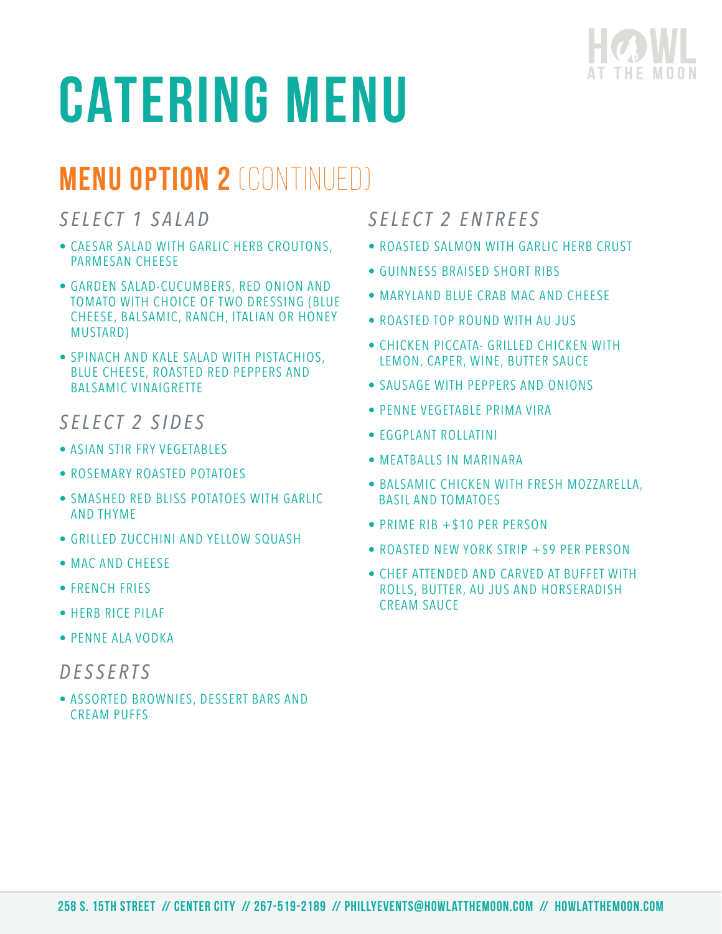

### Menu Option 2 (CONTINUED)

*SELECT 1 SALAD*

- CAESAR SALAD WITH GARLIC HERB CROUTONS, PARMESAN CHEESE
- GARDEN SALAD-CUCUMBERS, RED ONION AND TOMATO WITH CHOICE OF TWO DRESSING (BLUE CHEESE, BALSAMIC, RANCH, ITALIAN OR HONEY MUSTARD)
- SPINACH AND KALE SALAD WITH PISTACHIOS, BLUE CHEESE, ROASTED RED PEPPERS AND BALSAMIC VINAIGRETTE

### *SELECT 2 SIDES*

- ASIAN STIR FRY VEGETABLES
- ROSEMARY ROASTED POTATOES
- SMASHED RED BLISS POTATOES WITH GARLIC AND THYME
- GRILLED ZUCCHINI AND YELLOW SQUASH
- MAC AND CHEESE
- FRENCH FRIES
- HERB RICE PILAF
- PENNE ALA VODKA

#### *DESSERTS*

• ASSORTED BROWNIES, DESSERT BARS AND CREAM PUFFS

### *SELECT 2 ENTREES*

- ROASTED SALMON WITH GARLIC HERB CRUST
- GUINNESS BRAISED SHORT RIBS
- MARYLAND BLUE CRAB MAC AND CHEESE
- ROASTED TOP ROUND WITH AU JUS
- CHICKEN PICCATA- GRILLED CHICKEN WITH LEMON, CAPER, WINE, BUTTER SAUCE
- SAUSAGE WITH PEPPERS AND ONIONS
- PENNE VEGETABLE PRIMA VIRA
- EGGPLANT ROLLATINI
- MEATBALLS IN MARINARA
- BALSAMIC CHICKEN WITH FRESH MOZZARELLA, BASIL AND TOMATOES
- PRIME RIB +\$10 PER PERSON
- ROASTED NEW YORK STRIP +\$9 PER PERSON
- CHEF ATTENDED AND CARVED AT BUFFET WITH ROLLS, BUTTER, AU JUS AND HORSERADISH CREAM SAUCE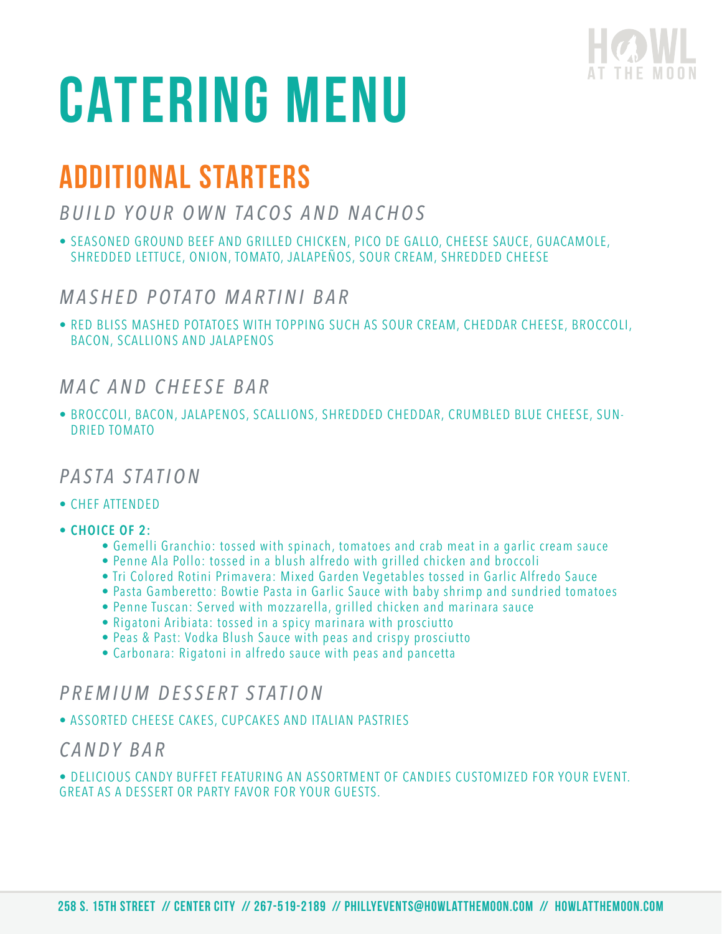

### ADDITIONAL STARTERS

### *BUILD YOUR OWN TACOS AND NACHOS*

• SEASONED GROUND BEEF AND GRILLED CHICKEN, PICO DE GALLO, CHEESE SAUCE, GUACAMOLE, SHREDDED LETTUCE, ONION, TOMATO, JALAPEÑOS, SOUR CREAM, SHREDDED CHEESE

#### *MASHED POTATO MARTINI BAR*

• RED BLISS MASHED POTATOES WITH TOPPING SUCH AS SOUR CREAM, CHEDDAR CHEESE, BROCCOLI, BACON, SCALLIONS AND JALAPENOS

#### *M A C A N D C H E E S E B A R*

• BROCCOLI, BACON, JALAPENOS, SCALLIONS, SHREDDED CHEDDAR, CRUMBLED BLUE CHEESE, SUN-DRIED TOMATO

#### *PASTA STATION*

- CHEF ATTENDED
- **CHOICE OF 2:**
	- Gemelli Granchio: tossed with spinach, tomatoes and crab meat in a garlic cream sauce
	- Penne Ala Pollo: tossed in a blush alfredo with grilled chicken and broccoli
	- Tri Colored Rotini Primavera: Mixed Garden Vegetables tossed in Garlic Alfredo Sauce
	- Pasta Gamberetto: Bowtie Pasta in Garlic Sauce with baby shrimp and sundried tomatoes
	- Penne Tuscan: Served with mozzarella, grilled chicken and marinara sauce
	- Rigatoni Aribiata: tossed in a spicy marinara with prosciutto
	- Peas & Past: Vodka Blush Sauce with peas and crispy prosciutto
	- Carbonara: Rigatoni in alfredo sauce with peas and pancetta

#### *P R E M I U M D E S S E R T S T A T I O N*

• ASSORTED CHEESE CAKES, CUPCAKES AND ITALIAN PASTRIES

#### *C A N D Y B A R*

• DELICIOUS CANDY BUFFET FEATURING AN ASSORTMENT OF CANDIES CUSTOMIZED FOR YOUR EVENT. GREAT AS A DESSERT OR PARTY FAVOR FOR YOUR GUESTS.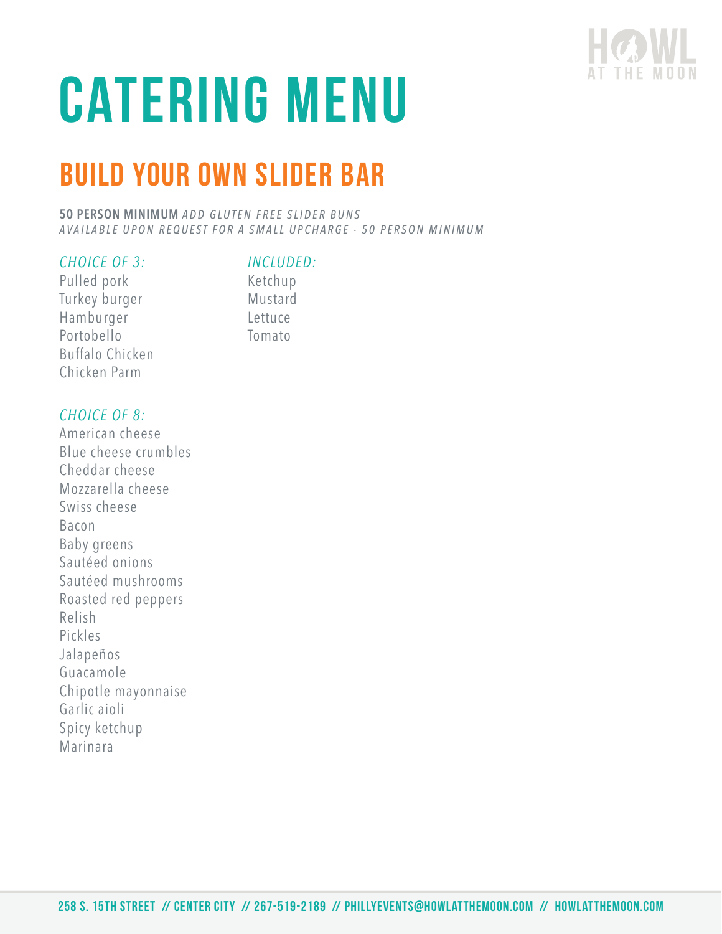

## Build Your Own Slider Bar

**50 PERSON MINIMUM ADD GLUTEN FREE SLIDER BUNS** *AVAILABLE UPON REQUEST FOR A SMALL UPCHARGE - 50 PERSON MINIMUM*

#### *CHOICE OF 3:*

#### *INCLUDED:*

Pulled pork Turkey burger Hamburger Portobello Buffalo Chicken Chicken Parm

Ketchup Mustard Lettuce Tomato

#### *CHOICE OF 8:*

American cheese Blue cheese crumbles Cheddar cheese Mozzarella cheese Swiss cheese Bacon Baby greens Sautéed onions Sautéed mushrooms Roasted red peppers Relish Pickles Jalapeños Guacamole Chipotle mayonnaise Garlic aioli Spicy ketchup Marinara